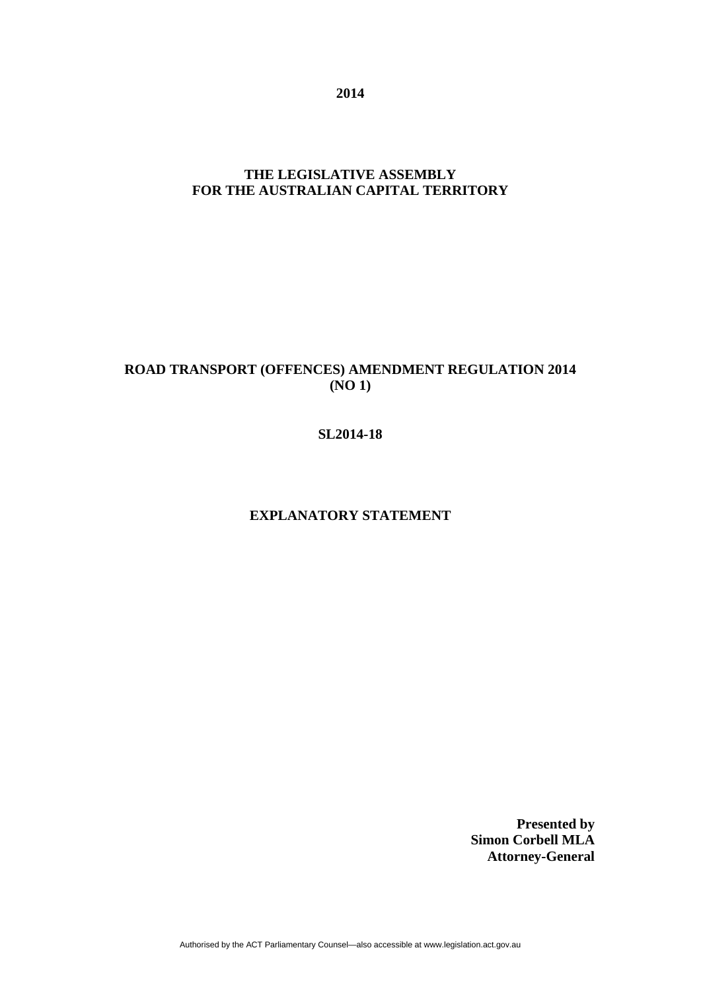**2014** 

# **THE LEGISLATIVE ASSEMBLY FOR THE AUSTRALIAN CAPITAL TERRITORY**

# **ROAD TRANSPORT (OFFENCES) AMENDMENT REGULATION 2014 (NO 1)**

# **SL2014-18**

# **EXPLANATORY STATEMENT**

**Presented by Simon Corbell MLA Attorney-General**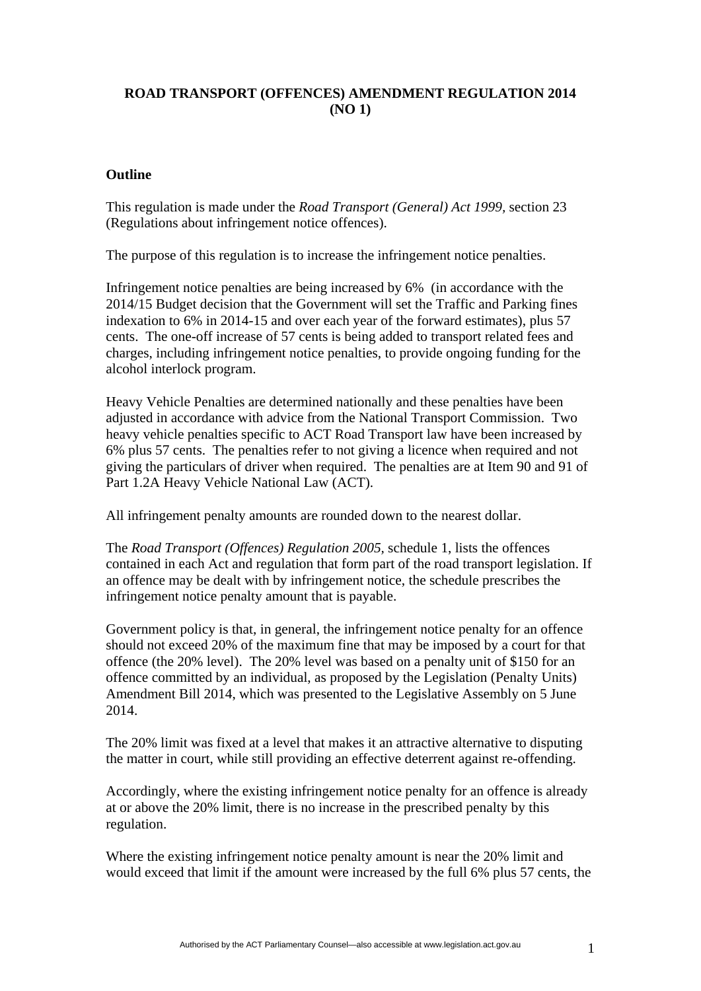# **ROAD TRANSPORT (OFFENCES) AMENDMENT REGULATION 2014 (NO 1)**

#### **Outline**

This regulation is made under the *Road Transport (General) Act 1999,* section 23 (Regulations about infringement notice offences).

The purpose of this regulation is to increase the infringement notice penalties.

Infringement notice penalties are being increased by 6% (in accordance with the 2014/15 Budget decision that the Government will set the Traffic and Parking fines indexation to 6% in 2014-15 and over each year of the forward estimates), plus 57 cents. The one-off increase of 57 cents is being added to transport related fees and charges, including infringement notice penalties, to provide ongoing funding for the alcohol interlock program.

Heavy Vehicle Penalties are determined nationally and these penalties have been adjusted in accordance with advice from the National Transport Commission. Two heavy vehicle penalties specific to ACT Road Transport law have been increased by 6% plus 57 cents. The penalties refer to not giving a licence when required and not giving the particulars of driver when required. The penalties are at Item 90 and 91 of Part 1.2A Heavy Vehicle National Law (ACT).

All infringement penalty amounts are rounded down to the nearest dollar.

The *Road Transport (Offences) Regulation 2005,* schedule 1, lists the offences contained in each Act and regulation that form part of the road transport legislation. If an offence may be dealt with by infringement notice, the schedule prescribes the infringement notice penalty amount that is payable.

Government policy is that, in general, the infringement notice penalty for an offence should not exceed 20% of the maximum fine that may be imposed by a court for that offence (the 20% level). The 20% level was based on a penalty unit of \$150 for an offence committed by an individual, as proposed by the Legislation (Penalty Units) Amendment Bill 2014, which was presented to the Legislative Assembly on 5 June 2014.

The 20% limit was fixed at a level that makes it an attractive alternative to disputing the matter in court, while still providing an effective deterrent against re-offending.

Accordingly, where the existing infringement notice penalty for an offence is already at or above the 20% limit, there is no increase in the prescribed penalty by this regulation.

Where the existing infringement notice penalty amount is near the 20% limit and would exceed that limit if the amount were increased by the full 6% plus 57 cents, the